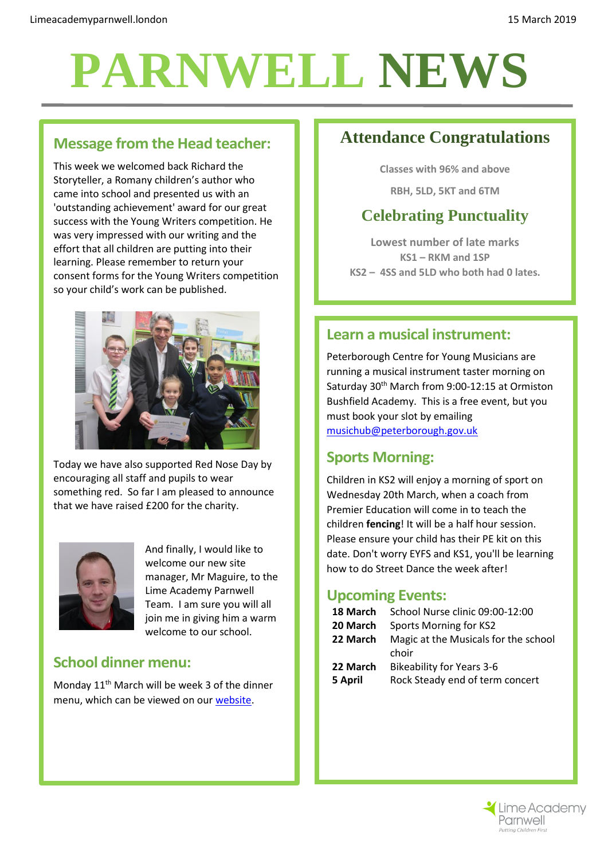# **PARNWELL NEWS**

## **Message from the Head teacher:**

This week we welcomed back Richard the Storyteller, a Romany children's author who came into school and presented us with an 'outstanding achievement' award for our great success with the Young Writers competition. He was very impressed with our writing and the effort that all children are putting into their learning. Please remember to return your consent forms for the Young Writers competition so your child's work can be published.



Today we have also supported Red Nose Day by encouraging all staff and pupils to wear something red. So far I am pleased to announce that we have raised £200 for the charity.



And finally, I would like to welcome our new site manager, Mr Maguire, to the Lime Academy Parnwell Team. I am sure you will all join me in giving him a warm welcome to our school.

#### **School dinner menu:**

Monday 11<sup>th</sup> March will be week 3 of the dinner menu, which can be viewed on our [website.](http://limeacademyparnwell.london/media/1997/dinner-menu-2.pdf)

## **Attendance Congratulations**

**Classes with 96% and above**

**RBH, 5LD, 5KT and 6TM**

## **Celebrating Punctuality**

**Lowest number of late marks KS1 – RKM and 1SP KS2 – 4SS and 5LD who both had 0 lates.**

#### **Learn a musical instrument:**

Peterborough Centre for Young Musicians are running a musical instrument taster morning on Saturday 30th March from 9:00-12:15 at Ormiston Bushfield Academy. This is a free event, but you must book your slot by emailing [musichub@peterborough.gov.uk](mailto:musichub@peterborough.gov.uk)

#### **Sports Morning:**

Children in KS2 will enjoy a morning of sport on Wednesday 20th March, when a coach from Premier Education will come in to teach the children **fencing**! It will be a half hour session. Please ensure your child has their PE kit on this date. Don't worry EYFS and KS1, you'll be learning how to do Street Dance the week after!

#### **Upcoming Events:**

| 18 March            | School Nurse clinic 09:00-12:00                                     |
|---------------------|---------------------------------------------------------------------|
| 20 March            | Sports Morning for KS2                                              |
| 22 March            | Magic at the Musicals for the school<br>choir                       |
| 22 March<br>5 April | <b>Bikeability for Years 3-6</b><br>Rock Steady end of term concert |